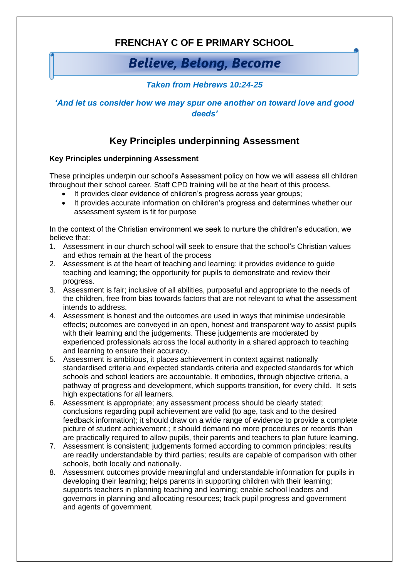## **FRENCHAY C OF E PRIMARY SCHOOL**

# **Believe, Belong, Become**

### *Taken from Hebrews 10:24-25*

#### *'And let us consider how we may spur one another on toward love and good deeds'*

## **Key Principles underpinning Assessment**

#### **Key Principles underpinning Assessment**

These principles underpin our school's Assessment policy on how we will assess all children throughout their school career. Staff CPD training will be at the heart of this process.

- It provides clear evidence of children's progress across year groups;
- It provides accurate information on children's progress and determines whether our assessment system is fit for purpose

In the context of the Christian environment we seek to nurture the children's education, we believe that:

- 1. Assessment in our church school will seek to ensure that the school's Christian values and ethos remain at the heart of the process
- 2. Assessment is at the heart of teaching and learning: it provides evidence to guide teaching and learning; the opportunity for pupils to demonstrate and review their progress.
- 3. Assessment is fair; inclusive of all abilities, purposeful and appropriate to the needs of the children, free from bias towards factors that are not relevant to what the assessment intends to address.
- 4. Assessment is honest and the outcomes are used in ways that minimise undesirable effects; outcomes are conveyed in an open, honest and transparent way to assist pupils with their learning and the judgements. These judgements are moderated by experienced professionals across the local authority in a shared approach to teaching and learning to ensure their accuracy.
- 5. Assessment is ambitious, it places achievement in context against nationally standardised criteria and expected standards criteria and expected standards for which schools and school leaders are accountable. It embodies, through objective criteria, a pathway of progress and development, which supports transition, for every child. It sets high expectations for all learners.
- 6. Assessment is appropriate; any assessment process should be clearly stated; conclusions regarding pupil achievement are valid (to age, task and to the desired feedback information); it should draw on a wide range of evidence to provide a complete picture of student achievement.; it should demand no more procedures or records than are practically required to allow pupils, their parents and teachers to plan future learning.
- 7. Assessment is consistent; judgements formed according to common principles; results are readily understandable by third parties; results are capable of comparison with other schools, both locally and nationally.
- 8. Assessment outcomes provide meaningful and understandable information for pupils in developing their learning; helps parents in supporting children with their learning; supports teachers in planning teaching and learning; enable school leaders and governors in planning and allocating resources; track pupil progress and government and agents of government.